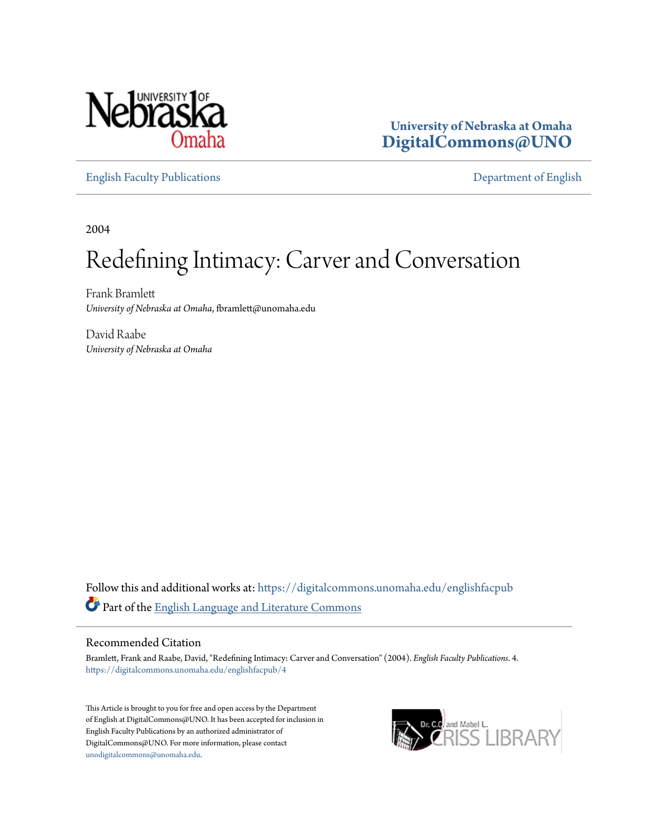

**University of Nebraska at Omaha [DigitalCommons@UNO](https://digitalcommons.unomaha.edu?utm_source=digitalcommons.unomaha.edu%2Fenglishfacpub%2F4&utm_medium=PDF&utm_campaign=PDFCoverPages)**

[English Faculty Publications](https://digitalcommons.unomaha.edu/englishfacpub?utm_source=digitalcommons.unomaha.edu%2Fenglishfacpub%2F4&utm_medium=PDF&utm_campaign=PDFCoverPages) [Department of English](https://digitalcommons.unomaha.edu/english?utm_source=digitalcommons.unomaha.edu%2Fenglishfacpub%2F4&utm_medium=PDF&utm_campaign=PDFCoverPages)

2004

# Redefining Intimacy: Carver and Conversation

Frank Bramlett *University of Nebraska at Omaha*, fbramlett@unomaha.edu

David Raabe *University of Nebraska at Omaha*

Follow this and additional works at: [https://digitalcommons.unomaha.edu/englishfacpub](https://digitalcommons.unomaha.edu/englishfacpub?utm_source=digitalcommons.unomaha.edu%2Fenglishfacpub%2F4&utm_medium=PDF&utm_campaign=PDFCoverPages) Part of the [English Language and Literature Commons](http://network.bepress.com/hgg/discipline/455?utm_source=digitalcommons.unomaha.edu%2Fenglishfacpub%2F4&utm_medium=PDF&utm_campaign=PDFCoverPages)

#### Recommended Citation

Bramlett, Frank and Raabe, David, "Redefining Intimacy: Carver and Conversation" (2004). *English Faculty Publications*. 4. [https://digitalcommons.unomaha.edu/englishfacpub/4](https://digitalcommons.unomaha.edu/englishfacpub/4?utm_source=digitalcommons.unomaha.edu%2Fenglishfacpub%2F4&utm_medium=PDF&utm_campaign=PDFCoverPages)

This Article is brought to you for free and open access by the Department of English at DigitalCommons@UNO. It has been accepted for inclusion in English Faculty Publications by an authorized administrator of DigitalCommons@UNO. For more information, please contact [unodigitalcommons@unomaha.edu](mailto:unodigitalcommons@unomaha.edu).

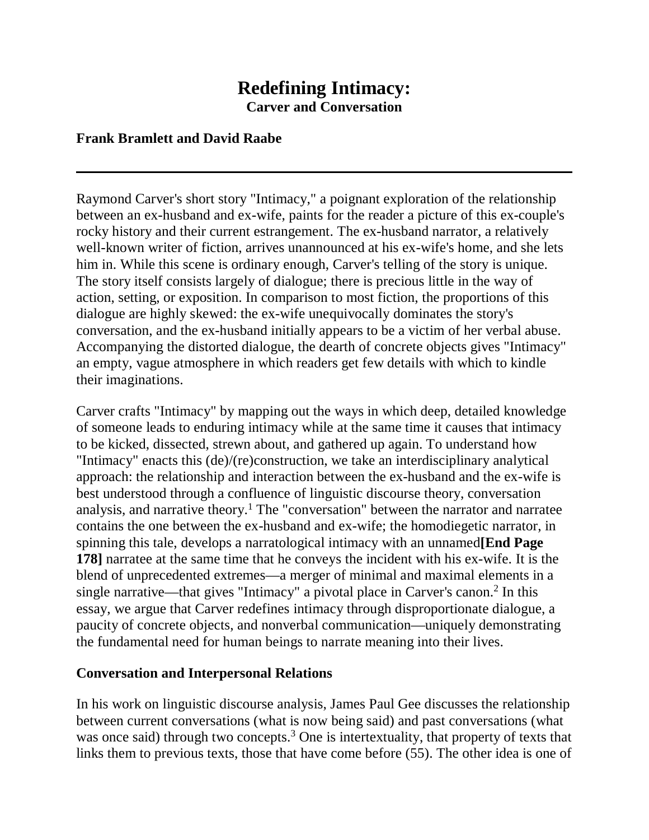# **Redefining Intimacy: Carver and Conversation**

#### **Frank Bramlett and David Raabe**

Raymond Carver's short story "Intimacy," a poignant exploration of the relationship between an ex-husband and ex-wife, paints for the reader a picture of this ex-couple's rocky history and their current estrangement. The ex-husband narrator, a relatively well-known writer of fiction, arrives unannounced at his ex-wife's home, and she lets him in. While this scene is ordinary enough, Carver's telling of the story is unique. The story itself consists largely of dialogue; there is precious little in the way of action, setting, or exposition. In comparison to most fiction, the proportions of this dialogue are highly skewed: the ex-wife unequivocally dominates the story's conversation, and the ex-husband initially appears to be a victim of her verbal abuse. Accompanying the distorted dialogue, the dearth of concrete objects gives "Intimacy" an empty, vague atmosphere in which readers get few details with which to kindle their imaginations.

Carver crafts "Intimacy" by mapping out the ways in which deep, detailed knowledge of someone leads to enduring intimacy while at the same time it causes that intimacy to be kicked, dissected, strewn about, and gathered up again. To understand how "Intimacy" enacts this (de)/(re)construction, we take an interdisciplinary analytical approach: the relationship and interaction between the ex-husband and the ex-wife is best understood through a confluence of linguistic discourse theory, conversation analysis, and narrative theory.<sup>1</sup> The "conversation" between the narrator and narratee contains the one between the ex-husband and ex-wife; the homodiegetic narrator, in spinning this tale, develops a narratological intimacy with an unnamed**[End Page 178]** narratee at the same time that he conveys the incident with his ex-wife. It is the blend of unprecedented extremes—a merger of minimal and maximal elements in a single narrative—that gives "Intimacy" a pivotal place in Carver's canon.<sup>2</sup> In this essay, we argue that Carver redefines intimacy through disproportionate dialogue, a paucity of concrete objects, and nonverbal communication—uniquely demonstrating the fundamental need for human beings to narrate meaning into their lives.

# **Conversation and Interpersonal Relations**

In his work on linguistic discourse analysis, James Paul Gee discusses the relationship between current conversations (what is now being said) and past conversations (what was once said) through two concepts.<sup>3</sup> One is intertextuality, that property of texts that links them to previous texts, those that have come before (55). The other idea is one of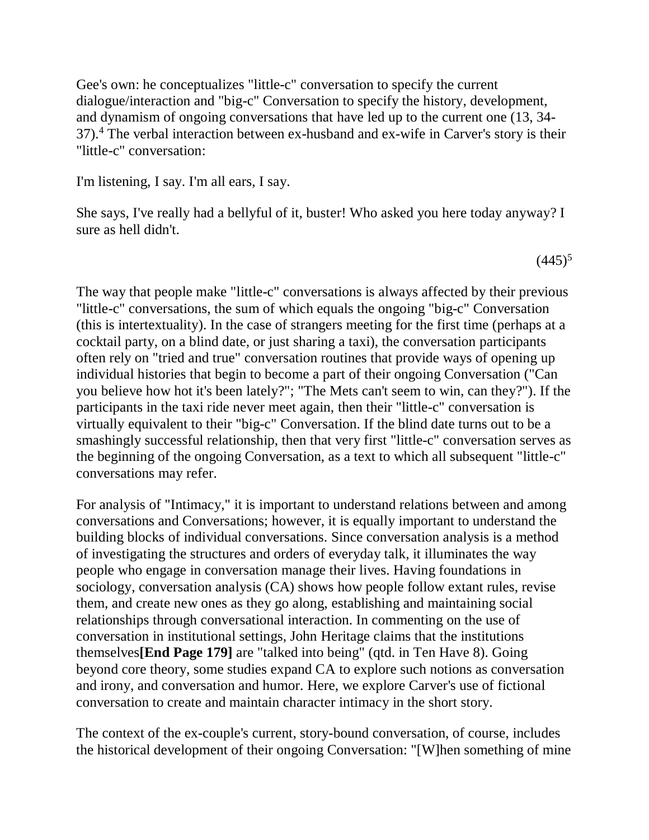Gee's own: he conceptualizes "little-c" conversation to specify the current dialogue/interaction and "big-c" Conversation to specify the history, development, and dynamism of ongoing conversations that have led up to the current one (13, 34- 37)[.4](https://muse.jhu.edu/journals/narrative/v012/12.2bramlett.html#FOOT4) The verbal interaction between ex-husband and ex-wife in Carver's story is their "little-c" conversation:

I'm listening, I say. I'm all ears, I say.

She says, I've really had a bellyful of it, buster! Who asked you here today anyway? I sure as hell didn't.

 $(445)^5$ 

The way that people make "little-c" conversations is always affected by their previous "little-c" conversations, the sum of which equals the ongoing "big-c" Conversation (this is intertextuality). In the case of strangers meeting for the first time (perhaps at a cocktail party, on a blind date, or just sharing a taxi), the conversation participants often rely on "tried and true" conversation routines that provide ways of opening up individual histories that begin to become a part of their ongoing Conversation ("Can you believe how hot it's been lately?"; "The Mets can't seem to win, can they?"). If the participants in the taxi ride never meet again, then their "little-c" conversation is virtually equivalent to their "big-c" Conversation. If the blind date turns out to be a smashingly successful relationship, then that very first "little-c" conversation serves as the beginning of the ongoing Conversation, as a text to which all subsequent "little-c" conversations may refer.

For analysis of "Intimacy," it is important to understand relations between and among conversations and Conversations; however, it is equally important to understand the building blocks of individual conversations. Since conversation analysis is a method of investigating the structures and orders of everyday talk, it illuminates the way people who engage in conversation manage their lives. Having foundations in sociology, conversation analysis (CA) shows how people follow extant rules, revise them, and create new ones as they go along, establishing and maintaining social relationships through conversational interaction. In commenting on the use of conversation in institutional settings, John Heritage claims that the institutions themselves**[End Page 179]** are "talked into being" (qtd. in Ten Have 8). Going beyond core theory, some studies expand CA to explore such notions as conversation and irony, and conversation and humor. Here, we explore Carver's use of fictional conversation to create and maintain character intimacy in the short story.

The context of the ex-couple's current, story-bound conversation, of course, includes the historical development of their ongoing Conversation: "[W]hen something of mine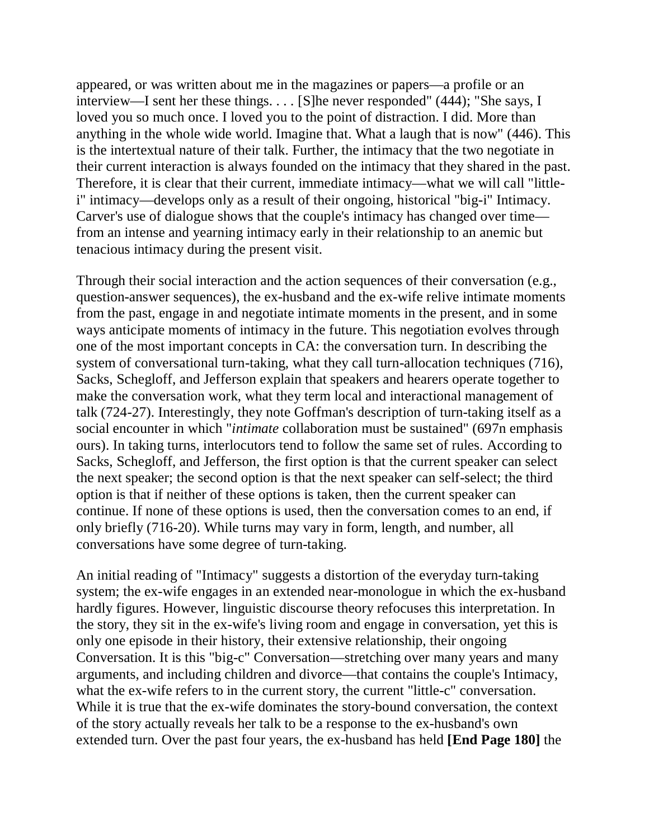appeared, or was written about me in the magazines or papers—a profile or an interview—I sent her these things. . . . [S]he never responded" (444); "She says, I loved you so much once. I loved you to the point of distraction. I did. More than anything in the whole wide world. Imagine that. What a laugh that is now" (446). This is the intertextual nature of their talk. Further, the intimacy that the two negotiate in their current interaction is always founded on the intimacy that they shared in the past. Therefore, it is clear that their current, immediate intimacy—what we will call "littlei" intimacy—develops only as a result of their ongoing, historical "big-i" Intimacy. Carver's use of dialogue shows that the couple's intimacy has changed over time from an intense and yearning intimacy early in their relationship to an anemic but tenacious intimacy during the present visit.

Through their social interaction and the action sequences of their conversation (e.g., question-answer sequences), the ex-husband and the ex-wife relive intimate moments from the past, engage in and negotiate intimate moments in the present, and in some ways anticipate moments of intimacy in the future. This negotiation evolves through one of the most important concepts in CA: the conversation turn. In describing the system of conversational turn-taking, what they call turn-allocation techniques (716), Sacks, Schegloff, and Jefferson explain that speakers and hearers operate together to make the conversation work, what they term local and interactional management of talk (724-27). Interestingly, they note Goffman's description of turn-taking itself as a social encounter in which "*intimate* collaboration must be sustained" (697n emphasis ours). In taking turns, interlocutors tend to follow the same set of rules. According to Sacks, Schegloff, and Jefferson, the first option is that the current speaker can select the next speaker; the second option is that the next speaker can self-select; the third option is that if neither of these options is taken, then the current speaker can continue. If none of these options is used, then the conversation comes to an end, if only briefly (716-20). While turns may vary in form, length, and number, all conversations have some degree of turn-taking.

An initial reading of "Intimacy" suggests a distortion of the everyday turn-taking system; the ex-wife engages in an extended near-monologue in which the ex-husband hardly figures. However, linguistic discourse theory refocuses this interpretation. In the story, they sit in the ex-wife's living room and engage in conversation, yet this is only one episode in their history, their extensive relationship, their ongoing Conversation. It is this "big-c" Conversation—stretching over many years and many arguments, and including children and divorce—that contains the couple's Intimacy, what the ex-wife refers to in the current story, the current "little-c" conversation. While it is true that the ex-wife dominates the story-bound conversation, the context of the story actually reveals her talk to be a response to the ex-husband's own extended turn. Over the past four years, the ex-husband has held **[End Page 180]** the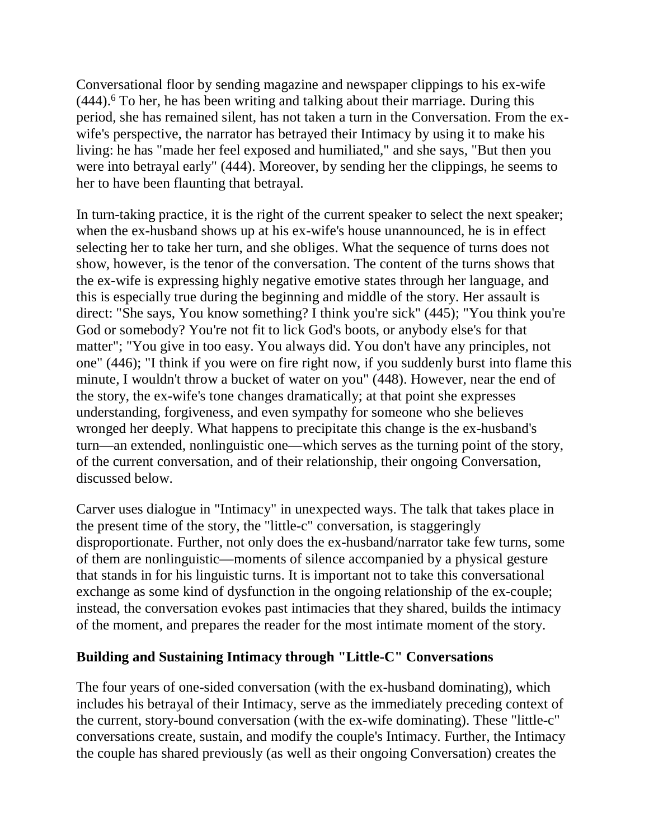Conversational floor by sending magazine and newspaper clippings to his ex-wife  $(444)$ .<sup>6</sup> To her, he has been writing and talking about their marriage. During this period, she has remained silent, has not taken a turn in the Conversation. From the exwife's perspective, the narrator has betrayed their Intimacy by using it to make his living: he has "made her feel exposed and humiliated," and she says, "But then you were into betrayal early" (444). Moreover, by sending her the clippings, he seems to her to have been flaunting that betrayal.

In turn-taking practice, it is the right of the current speaker to select the next speaker; when the ex-husband shows up at his ex-wife's house unannounced, he is in effect selecting her to take her turn, and she obliges. What the sequence of turns does not show, however, is the tenor of the conversation. The content of the turns shows that the ex-wife is expressing highly negative emotive states through her language, and this is especially true during the beginning and middle of the story. Her assault is direct: "She says, You know something? I think you're sick" (445); "You think you're God or somebody? You're not fit to lick God's boots, or anybody else's for that matter"; "You give in too easy. You always did. You don't have any principles, not one" (446); "I think if you were on fire right now, if you suddenly burst into flame this minute, I wouldn't throw a bucket of water on you" (448). However, near the end of the story, the ex-wife's tone changes dramatically; at that point she expresses understanding, forgiveness, and even sympathy for someone who she believes wronged her deeply. What happens to precipitate this change is the ex-husband's turn—an extended, nonlinguistic one—which serves as the turning point of the story, of the current conversation, and of their relationship, their ongoing Conversation, discussed below.

Carver uses dialogue in "Intimacy" in unexpected ways. The talk that takes place in the present time of the story, the "little-c" conversation, is staggeringly disproportionate. Further, not only does the ex-husband/narrator take few turns, some of them are nonlinguistic—moments of silence accompanied by a physical gesture that stands in for his linguistic turns. It is important not to take this conversational exchange as some kind of dysfunction in the ongoing relationship of the ex-couple; instead, the conversation evokes past intimacies that they shared, builds the intimacy of the moment, and prepares the reader for the most intimate moment of the story.

#### **Building and Sustaining Intimacy through "Little-C" Conversations**

The four years of one-sided conversation (with the ex-husband dominating), which includes his betrayal of their Intimacy, serve as the immediately preceding context of the current, story-bound conversation (with the ex-wife dominating). These "little-c" conversations create, sustain, and modify the couple's Intimacy. Further, the Intimacy the couple has shared previously (as well as their ongoing Conversation) creates the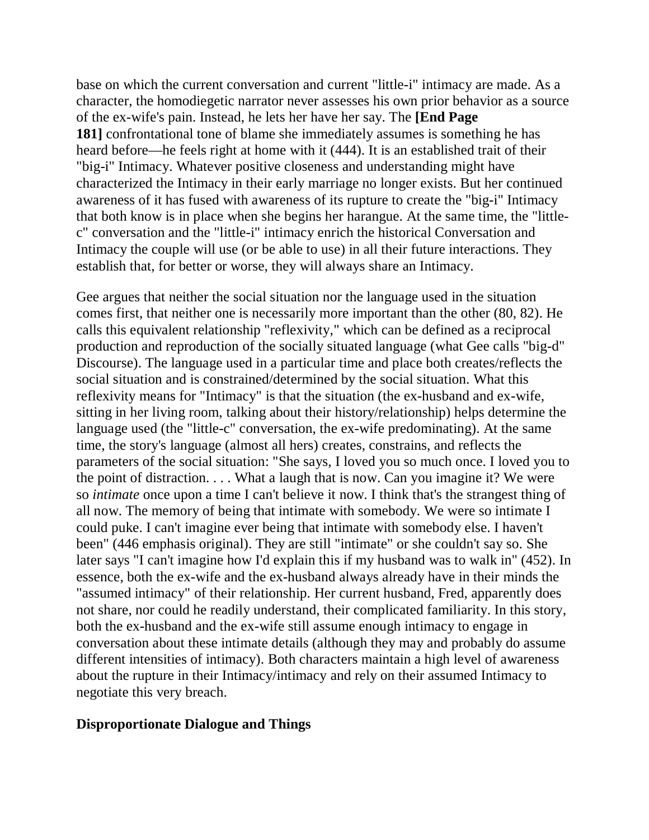base on which the current conversation and current "little-i" intimacy are made. As a character, the homodiegetic narrator never assesses his own prior behavior as a source of the ex-wife's pain. Instead, he lets her have her say. The **[End Page 181]** confrontational tone of blame she immediately assumes is something he has heard before—he feels right at home with it (444). It is an established trait of their "big-i" Intimacy. Whatever positive closeness and understanding might have characterized the Intimacy in their early marriage no longer exists. But her continued awareness of it has fused with awareness of its rupture to create the "big-i" Intimacy that both know is in place when she begins her harangue. At the same time, the "littlec" conversation and the "little-i" intimacy enrich the historical Conversation and Intimacy the couple will use (or be able to use) in all their future interactions. They establish that, for better or worse, they will always share an Intimacy.

Gee argues that neither the social situation nor the language used in the situation comes first, that neither one is necessarily more important than the other (80, 82). He calls this equivalent relationship "reflexivity," which can be defined as a reciprocal production and reproduction of the socially situated language (what Gee calls "big-d" Discourse). The language used in a particular time and place both creates/reflects the social situation and is constrained/determined by the social situation. What this reflexivity means for "Intimacy" is that the situation (the ex-husband and ex-wife, sitting in her living room, talking about their history/relationship) helps determine the language used (the "little-c" conversation, the ex-wife predominating). At the same time, the story's language (almost all hers) creates, constrains, and reflects the parameters of the social situation: "She says, I loved you so much once. I loved you to the point of distraction. . . . What a laugh that is now. Can you imagine it? We were so *intimate* once upon a time I can't believe it now. I think that's the strangest thing of all now. The memory of being that intimate with somebody. We were so intimate I could puke. I can't imagine ever being that intimate with somebody else. I haven't been" (446 emphasis original). They are still "intimate" or she couldn't say so. She later says "I can't imagine how I'd explain this if my husband was to walk in" (452). In essence, both the ex-wife and the ex-husband always already have in their minds the "assumed intimacy" of their relationship. Her current husband, Fred, apparently does not share, nor could he readily understand, their complicated familiarity. In this story, both the ex-husband and the ex-wife still assume enough intimacy to engage in conversation about these intimate details (although they may and probably do assume different intensities of intimacy). Both characters maintain a high level of awareness about the rupture in their Intimacy/intimacy and rely on their assumed Intimacy to negotiate this very breach.

#### **Disproportionate Dialogue and Things**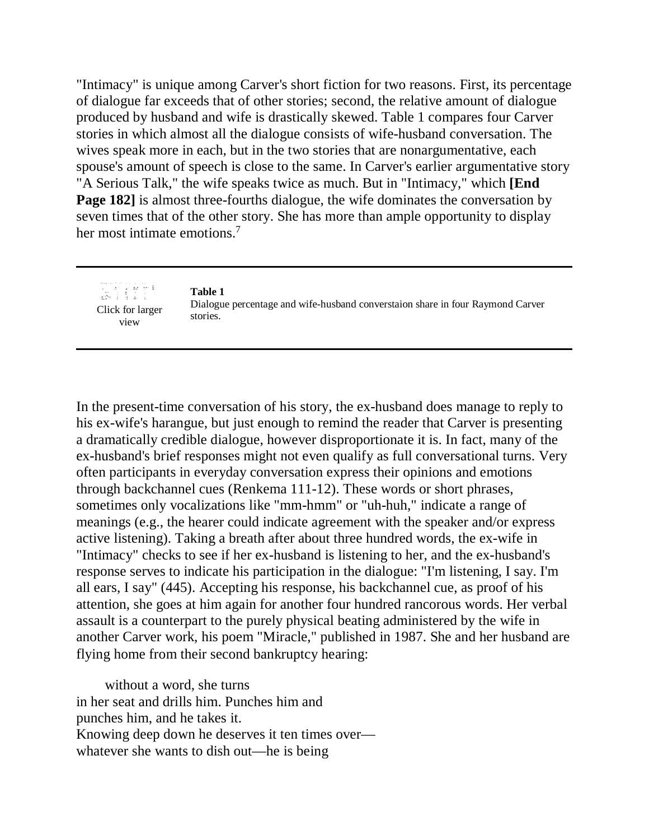"Intimacy" is unique among Carver's short fiction for two reasons. First, its percentage of dialogue far exceeds that of other stories; second, the relative amount of dialogue produced by husband and wife is drastically skewed. Table 1 compares four Carver stories in which almost all the dialogue consists of wife-husband conversation. The wives speak more in each, but in the two stories that are nonargumentative, each spouse's amount of speech is close to the same. In Carver's earlier argumentative story "A Serious Talk," the wife speaks twice as much. But in "Intimacy," which **[End Page 182** is almost three-fourths dialogue, the wife dominates the conversation by seven times that of the other story. She has more than ample opportunity to display her most intimate emotions.<sup>7</sup>

Triners<br>Altri **Table 1** Dialogue percentage and wife-husband converstaion share in four Raymond Carver Click for larger stories.

In the present-time conversation of his story, the ex-husband does manage to reply to his ex-wife's harangue, but just enough to remind the reader that Carver is presenting a dramatically credible dialogue, however disproportionate it is. In fact, many of the ex-husband's brief responses might not even qualify as full conversational turns. Very often participants in everyday conversation express their opinions and emotions through backchannel cues (Renkema 111-12). These words or short phrases, sometimes only vocalizations like "mm-hmm" or "uh-huh," indicate a range of meanings (e.g., the hearer could indicate agreement with the speaker and/or express active listening). Taking a breath after about three hundred words, the ex-wife in "Intimacy" checks to see if her ex-husband is listening to her, and the ex-husband's response serves to indicate his participation in the dialogue: "I'm listening, I say. I'm all ears, I say" (445). Accepting his response, his backchannel cue, as proof of his attention, she goes at him again for another four hundred rancorous words. Her verbal assault is a counterpart to the purely physical beating administered by the wife in another Carver work, his poem "Miracle," published in 1987. She and her husband are flying home from their second bankruptcy hearing:

without a word, she turns in her seat and drills him. Punches him and punches him, and he takes it. Knowing deep down he deserves it ten times over whatever she wants to dish out—he is being

view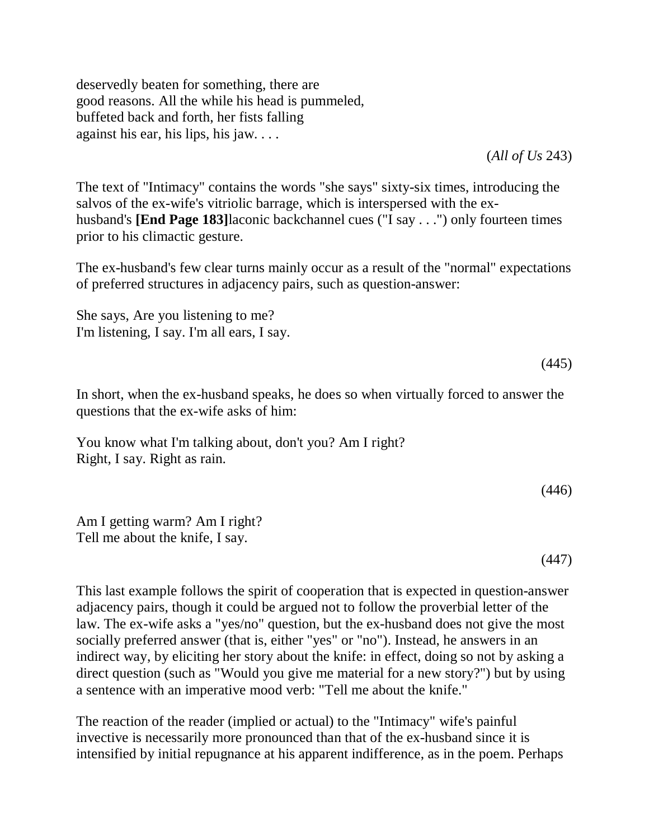deservedly beaten for something, there are good reasons. All the while his head is pummeled, buffeted back and forth, her fists falling against his ear, his lips, his jaw. . . .

(*All of Us* 243)

The text of "Intimacy" contains the words "she says" sixty-six times, introducing the salvos of the ex-wife's vitriolic barrage, which is interspersed with the exhusband's **[End Page 183]**laconic backchannel cues ("I say . . .") only fourteen times prior to his climactic gesture.

The ex-husband's few clear turns mainly occur as a result of the "normal" expectations of preferred structures in adjacency pairs, such as question-answer:

She says, Are you listening to me? I'm listening, I say. I'm all ears, I say.

(445)

In short, when the ex-husband speaks, he does so when virtually forced to answer the questions that the ex-wife asks of him:

You know what I'm talking about, don't you? Am I right? Right, I say. Right as rain.

(446)

Am I getting warm? Am I right? Tell me about the knife, I say.

(447)

This last example follows the spirit of cooperation that is expected in question-answer adjacency pairs, though it could be argued not to follow the proverbial letter of the law. The ex-wife asks a "yes/no" question, but the ex-husband does not give the most socially preferred answer (that is, either "yes" or "no"). Instead, he answers in an indirect way, by eliciting her story about the knife: in effect, doing so not by asking a direct question (such as "Would you give me material for a new story?") but by using a sentence with an imperative mood verb: "Tell me about the knife."

The reaction of the reader (implied or actual) to the "Intimacy" wife's painful invective is necessarily more pronounced than that of the ex-husband since it is intensified by initial repugnance at his apparent indifference, as in the poem. Perhaps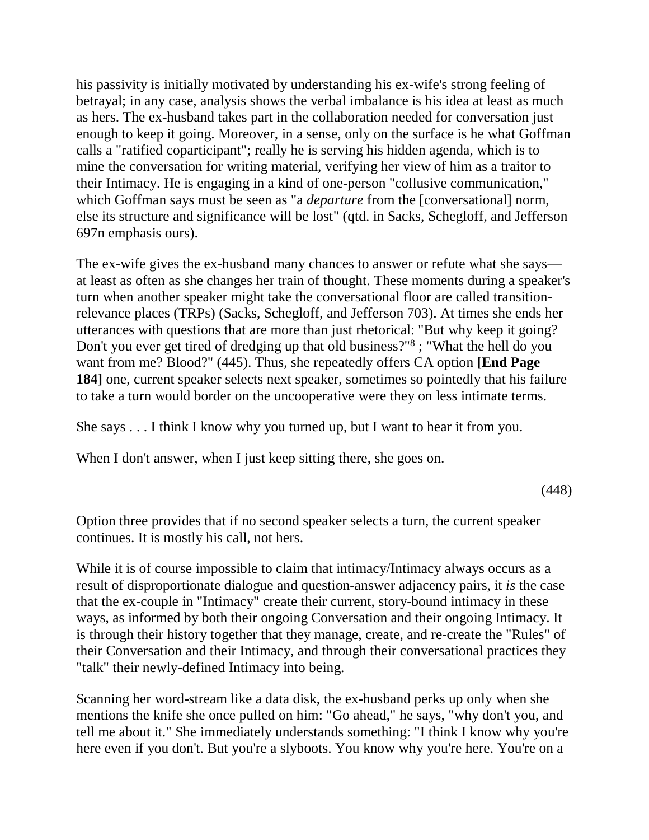his passivity is initially motivated by understanding his ex-wife's strong feeling of betrayal; in any case, analysis shows the verbal imbalance is his idea at least as much as hers. The ex-husband takes part in the collaboration needed for conversation just enough to keep it going. Moreover, in a sense, only on the surface is he what Goffman calls a "ratified coparticipant"; really he is serving his hidden agenda, which is to mine the conversation for writing material, verifying her view of him as a traitor to their Intimacy. He is engaging in a kind of one-person "collusive communication," which Goffman says must be seen as "a *departure* from the [conversational] norm, else its structure and significance will be lost" (qtd. in Sacks, Schegloff, and Jefferson 697n emphasis ours).

The ex-wife gives the ex-husband many chances to answer or refute what she says at least as often as she changes her train of thought. These moments during a speaker's turn when another speaker might take the conversational floor are called transitionrelevance places (TRPs) (Sacks, Schegloff, and Jefferson 703). At times she ends her utterances with questions that are more than just rhetorical: "But why keep it going? Don't you ever get tired of dredging up that old business?"8 ; "What the hell do you want from me? Blood?" (445). Thus, she repeatedly offers CA option **[End Page 184]** one, current speaker selects next speaker, sometimes so pointedly that his failure to take a turn would border on the uncooperative were they on less intimate terms.

She says . . . I think I know why you turned up, but I want to hear it from you.

When I don't answer, when I just keep sitting there, she goes on.

(448)

Option three provides that if no second speaker selects a turn, the current speaker continues. It is mostly his call, not hers.

While it is of course impossible to claim that intimacy/Intimacy always occurs as a result of disproportionate dialogue and question-answer adjacency pairs, it *is* the case that the ex-couple in "Intimacy" create their current, story-bound intimacy in these ways, as informed by both their ongoing Conversation and their ongoing Intimacy. It is through their history together that they manage, create, and re-create the "Rules" of their Conversation and their Intimacy, and through their conversational practices they "talk" their newly-defined Intimacy into being.

Scanning her word-stream like a data disk, the ex-husband perks up only when she mentions the knife she once pulled on him: "Go ahead," he says, "why don't you, and tell me about it." She immediately understands something: "I think I know why you're here even if you don't. But you're a slyboots. You know why you're here. You're on a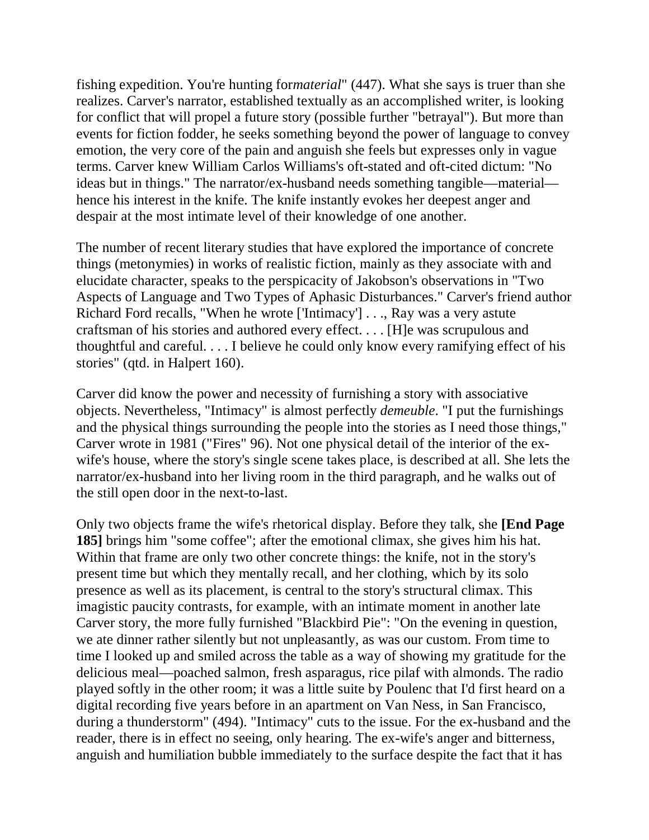fishing expedition. You're hunting for*material*" (447). What she says is truer than she realizes. Carver's narrator, established textually as an accomplished writer, is looking for conflict that will propel a future story (possible further "betrayal"). But more than events for fiction fodder, he seeks something beyond the power of language to convey emotion, the very core of the pain and anguish she feels but expresses only in vague terms. Carver knew William Carlos Williams's oft-stated and oft-cited dictum: "No ideas but in things." The narrator/ex-husband needs something tangible—material hence his interest in the knife. The knife instantly evokes her deepest anger and despair at the most intimate level of their knowledge of one another.

The number of recent literary studies that have explored the importance of concrete things (metonymies) in works of realistic fiction, mainly as they associate with and elucidate character, speaks to the perspicacity of Jakobson's observations in "Two Aspects of Language and Two Types of Aphasic Disturbances." Carver's friend author Richard Ford recalls, "When he wrote ['Intimacy'] . . ., Ray was a very astute craftsman of his stories and authored every effect. . . . [H]e was scrupulous and thoughtful and careful. . . . I believe he could only know every ramifying effect of his stories" (qtd. in Halpert 160).

Carver did know the power and necessity of furnishing a story with associative objects. Nevertheless, "Intimacy" is almost perfectly *demeuble*. "I put the furnishings and the physical things surrounding the people into the stories as I need those things," Carver wrote in 1981 ("Fires" 96). Not one physical detail of the interior of the exwife's house, where the story's single scene takes place, is described at all. She lets the narrator/ex-husband into her living room in the third paragraph, and he walks out of the still open door in the next-to-last.

Only two objects frame the wife's rhetorical display. Before they talk, she **[End Page 185]** brings him "some coffee"; after the emotional climax, she gives him his hat. Within that frame are only two other concrete things: the knife, not in the story's present time but which they mentally recall, and her clothing, which by its solo presence as well as its placement, is central to the story's structural climax. This imagistic paucity contrasts, for example, with an intimate moment in another late Carver story, the more fully furnished "Blackbird Pie": "On the evening in question, we ate dinner rather silently but not unpleasantly, as was our custom. From time to time I looked up and smiled across the table as a way of showing my gratitude for the delicious meal—poached salmon, fresh asparagus, rice pilaf with almonds. The radio played softly in the other room; it was a little suite by Poulenc that I'd first heard on a digital recording five years before in an apartment on Van Ness, in San Francisco, during a thunderstorm" (494). "Intimacy" cuts to the issue. For the ex-husband and the reader, there is in effect no seeing, only hearing. The ex-wife's anger and bitterness, anguish and humiliation bubble immediately to the surface despite the fact that it has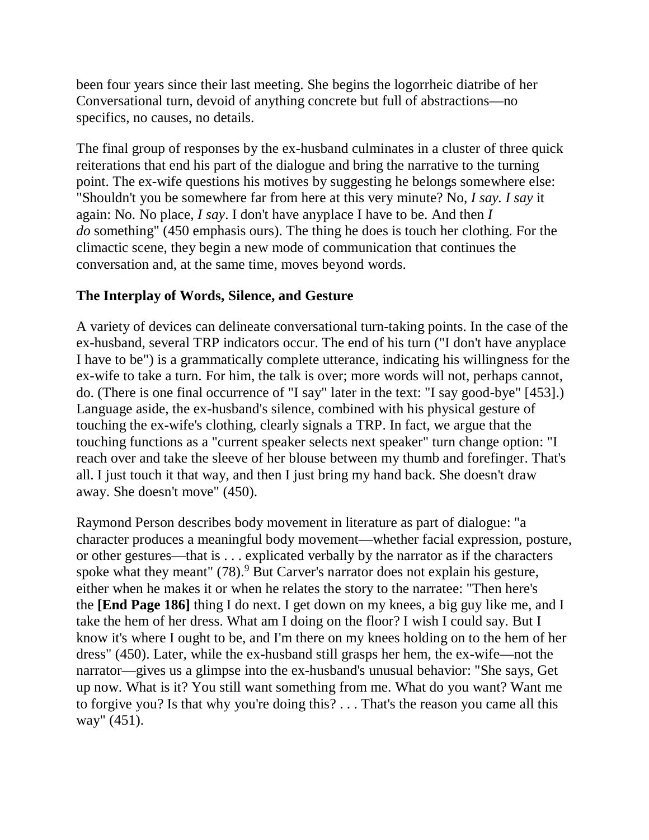been four years since their last meeting. She begins the logorrheic diatribe of her Conversational turn, devoid of anything concrete but full of abstractions—no specifics, no causes, no details.

The final group of responses by the ex-husband culminates in a cluster of three quick reiterations that end his part of the dialogue and bring the narrative to the turning point. The ex-wife questions his motives by suggesting he belongs somewhere else: "Shouldn't you be somewhere far from here at this very minute? No, *I say. I say* it again: No. No place, *I say*. I don't have anyplace I have to be. And then *I do* something" (450 emphasis ours). The thing he does is touch her clothing. For the climactic scene, they begin a new mode of communication that continues the conversation and, at the same time, moves beyond words.

# **The Interplay of Words, Silence, and Gesture**

A variety of devices can delineate conversational turn-taking points. In the case of the ex-husband, several TRP indicators occur. The end of his turn ("I don't have anyplace I have to be") is a grammatically complete utterance, indicating his willingness for the ex-wife to take a turn. For him, the talk is over; more words will not, perhaps cannot, do. (There is one final occurrence of "I say" later in the text: "I say good-bye" [453].) Language aside, the ex-husband's silence, combined with his physical gesture of touching the ex-wife's clothing, clearly signals a TRP. In fact, we argue that the touching functions as a "current speaker selects next speaker" turn change option: "I reach over and take the sleeve of her blouse between my thumb and forefinger. That's all. I just touch it that way, and then I just bring my hand back. She doesn't draw away. She doesn't move" (450).

Raymond Person describes body movement in literature as part of dialogue: "a character produces a meaningful body movement—whether facial expression, posture, or other gestures—that is . . . explicated verbally by the narrator as if the characters spoke what they meant"  $(78)$ .  $9$  But Carver's narrator does not explain his gesture, either when he makes it or when he relates the story to the narratee: "Then here's the **[End Page 186]** thing I do next. I get down on my knees, a big guy like me, and I take the hem of her dress. What am I doing on the floor? I wish I could say. But I know it's where I ought to be, and I'm there on my knees holding on to the hem of her dress" (450). Later, while the ex-husband still grasps her hem, the ex-wife—not the narrator—gives us a glimpse into the ex-husband's unusual behavior: "She says, Get up now. What is it? You still want something from me. What do you want? Want me to forgive you? Is that why you're doing this? . . . That's the reason you came all this way" (451).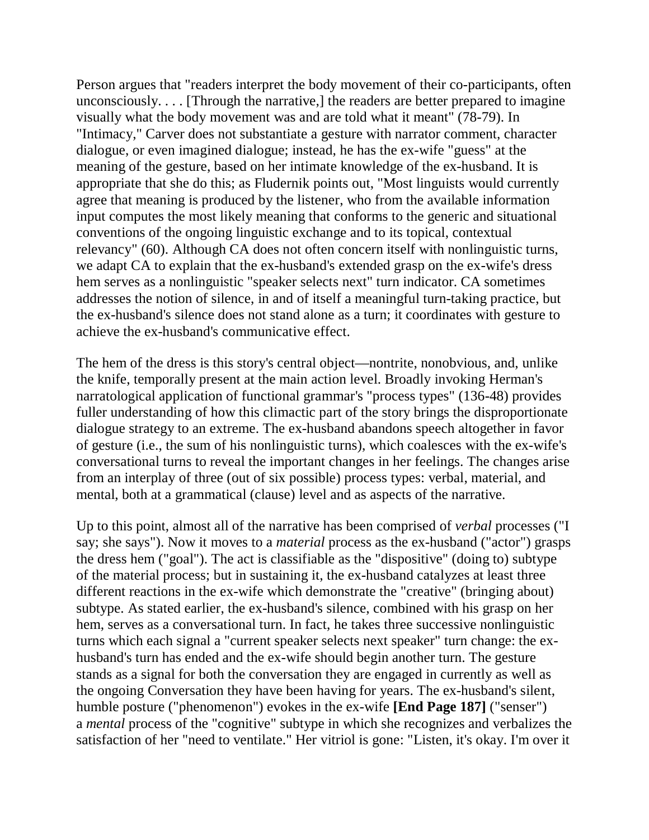Person argues that "readers interpret the body movement of their co-participants, often unconsciously. . . . [Through the narrative,] the readers are better prepared to imagine visually what the body movement was and are told what it meant" (78-79). In "Intimacy," Carver does not substantiate a gesture with narrator comment, character dialogue, or even imagined dialogue; instead, he has the ex-wife "guess" at the meaning of the gesture, based on her intimate knowledge of the ex-husband. It is appropriate that she do this; as Fludernik points out, "Most linguists would currently agree that meaning is produced by the listener, who from the available information input computes the most likely meaning that conforms to the generic and situational conventions of the ongoing linguistic exchange and to its topical, contextual relevancy" (60). Although CA does not often concern itself with nonlinguistic turns, we adapt CA to explain that the ex-husband's extended grasp on the ex-wife's dress hem serves as a nonlinguistic "speaker selects next" turn indicator. CA sometimes addresses the notion of silence, in and of itself a meaningful turn-taking practice, but the ex-husband's silence does not stand alone as a turn; it coordinates with gesture to achieve the ex-husband's communicative effect.

The hem of the dress is this story's central object—nontrite, nonobvious, and, unlike the knife, temporally present at the main action level. Broadly invoking Herman's narratological application of functional grammar's "process types" (136-48) provides fuller understanding of how this climactic part of the story brings the disproportionate dialogue strategy to an extreme. The ex-husband abandons speech altogether in favor of gesture (i.e., the sum of his nonlinguistic turns), which coalesces with the ex-wife's conversational turns to reveal the important changes in her feelings. The changes arise from an interplay of three (out of six possible) process types: verbal, material, and mental, both at a grammatical (clause) level and as aspects of the narrative.

Up to this point, almost all of the narrative has been comprised of *verbal* processes ("I say; she says"). Now it moves to a *material* process as the ex-husband ("actor") grasps the dress hem ("goal"). The act is classifiable as the "dispositive" (doing to) subtype of the material process; but in sustaining it, the ex-husband catalyzes at least three different reactions in the ex-wife which demonstrate the "creative" (bringing about) subtype. As stated earlier, the ex-husband's silence, combined with his grasp on her hem, serves as a conversational turn. In fact, he takes three successive nonlinguistic turns which each signal a "current speaker selects next speaker" turn change: the exhusband's turn has ended and the ex-wife should begin another turn. The gesture stands as a signal for both the conversation they are engaged in currently as well as the ongoing Conversation they have been having for years. The ex-husband's silent, humble posture ("phenomenon") evokes in the ex-wife **[End Page 187]** ("senser") a *mental* process of the "cognitive" subtype in which she recognizes and verbalizes the satisfaction of her "need to ventilate." Her vitriol is gone: "Listen, it's okay. I'm over it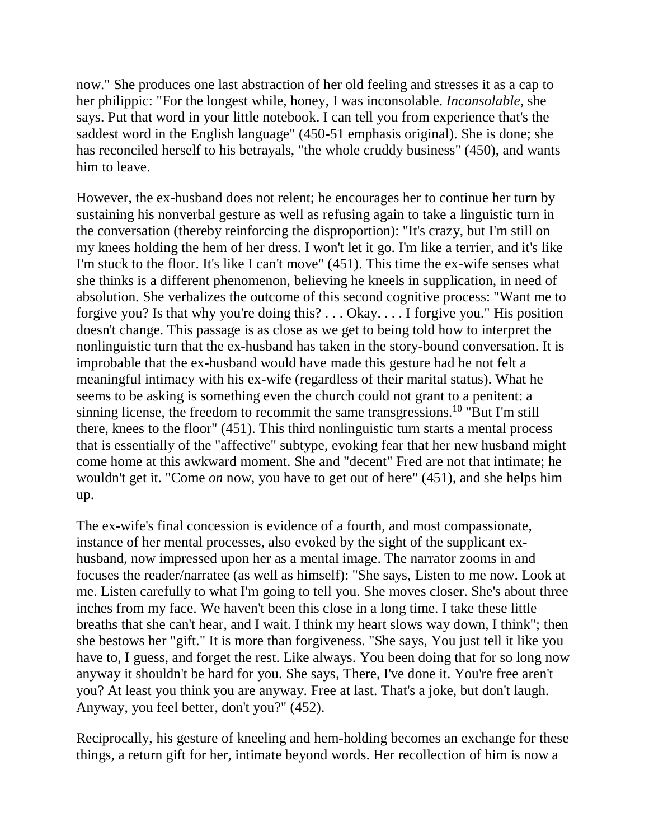now." She produces one last abstraction of her old feeling and stresses it as a cap to her philippic: "For the longest while, honey, I was inconsolable. *Inconsolable*, she says. Put that word in your little notebook. I can tell you from experience that's the saddest word in the English language" (450-51 emphasis original). She is done; she has reconciled herself to his betrayals, "the whole cruddy business" (450), and wants him to leave.

However, the ex-husband does not relent; he encourages her to continue her turn by sustaining his nonverbal gesture as well as refusing again to take a linguistic turn in the conversation (thereby reinforcing the disproportion): "It's crazy, but I'm still on my knees holding the hem of her dress. I won't let it go. I'm like a terrier, and it's like I'm stuck to the floor. It's like I can't move" (451). This time the ex-wife senses what she thinks is a different phenomenon, believing he kneels in supplication, in need of absolution. She verbalizes the outcome of this second cognitive process: "Want me to forgive you? Is that why you're doing this? . . . Okay. . . . I forgive you." His position doesn't change. This passage is as close as we get to being told how to interpret the nonlinguistic turn that the ex-husband has taken in the story-bound conversation. It is improbable that the ex-husband would have made this gesture had he not felt a meaningful intimacy with his ex-wife (regardless of their marital status). What he seems to be asking is something even the church could not grant to a penitent: a sinning license, the freedom to recommit the same transgressions.10 "But I'm still there, knees to the floor" (451). This third nonlinguistic turn starts a mental process that is essentially of the "affective" subtype, evoking fear that her new husband might come home at this awkward moment. She and "decent" Fred are not that intimate; he wouldn't get it. "Come *on* now, you have to get out of here" (451), and she helps him up.

The ex-wife's final concession is evidence of a fourth, and most compassionate, instance of her mental processes, also evoked by the sight of the supplicant exhusband, now impressed upon her as a mental image. The narrator zooms in and focuses the reader/narratee (as well as himself): "She says, Listen to me now. Look at me. Listen carefully to what I'm going to tell you. She moves closer. She's about three inches from my face. We haven't been this close in a long time. I take these little breaths that she can't hear, and I wait. I think my heart slows way down, I think"; then she bestows her "gift." It is more than forgiveness. "She says, You just tell it like you have to, I guess, and forget the rest. Like always. You been doing that for so long now anyway it shouldn't be hard for you. She says, There, I've done it. You're free aren't you? At least you think you are anyway. Free at last. That's a joke, but don't laugh. Anyway, you feel better, don't you?" (452).

Reciprocally, his gesture of kneeling and hem-holding becomes an exchange for these things, a return gift for her, intimate beyond words. Her recollection of him is now a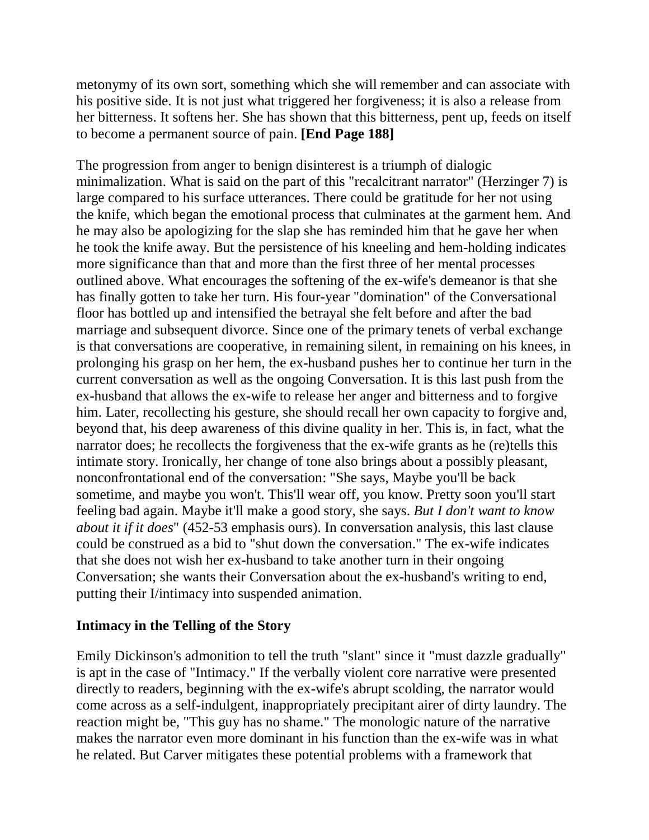metonymy of its own sort, something which she will remember and can associate with his positive side. It is not just what triggered her forgiveness; it is also a release from her bitterness. It softens her. She has shown that this bitterness, pent up, feeds on itself to become a permanent source of pain. **[End Page 188]**

The progression from anger to benign disinterest is a triumph of dialogic minimalization. What is said on the part of this "recalcitrant narrator" (Herzinger 7) is large compared to his surface utterances. There could be gratitude for her not using the knife, which began the emotional process that culminates at the garment hem. And he may also be apologizing for the slap she has reminded him that he gave her when he took the knife away. But the persistence of his kneeling and hem-holding indicates more significance than that and more than the first three of her mental processes outlined above. What encourages the softening of the ex-wife's demeanor is that she has finally gotten to take her turn. His four-year "domination" of the Conversational floor has bottled up and intensified the betrayal she felt before and after the bad marriage and subsequent divorce. Since one of the primary tenets of verbal exchange is that conversations are cooperative, in remaining silent, in remaining on his knees, in prolonging his grasp on her hem, the ex-husband pushes her to continue her turn in the current conversation as well as the ongoing Conversation. It is this last push from the ex-husband that allows the ex-wife to release her anger and bitterness and to forgive him. Later, recollecting his gesture, she should recall her own capacity to forgive and, beyond that, his deep awareness of this divine quality in her. This is, in fact, what the narrator does; he recollects the forgiveness that the ex-wife grants as he (re)tells this intimate story. Ironically, her change of tone also brings about a possibly pleasant, nonconfrontational end of the conversation: "She says, Maybe you'll be back sometime, and maybe you won't. This'll wear off, you know. Pretty soon you'll start feeling bad again. Maybe it'll make a good story, she says. *But I don't want to know about it if it does*" (452-53 emphasis ours). In conversation analysis, this last clause could be construed as a bid to "shut down the conversation." The ex-wife indicates that she does not wish her ex-husband to take another turn in their ongoing Conversation; she wants their Conversation about the ex-husband's writing to end, putting their I/intimacy into suspended animation.

# **Intimacy in the Telling of the Story**

Emily Dickinson's admonition to tell the truth "slant" since it "must dazzle gradually" is apt in the case of "Intimacy." If the verbally violent core narrative were presented directly to readers, beginning with the ex-wife's abrupt scolding, the narrator would come across as a self-indulgent, inappropriately precipitant airer of dirty laundry. The reaction might be, "This guy has no shame." The monologic nature of the narrative makes the narrator even more dominant in his function than the ex-wife was in what he related. But Carver mitigates these potential problems with a framework that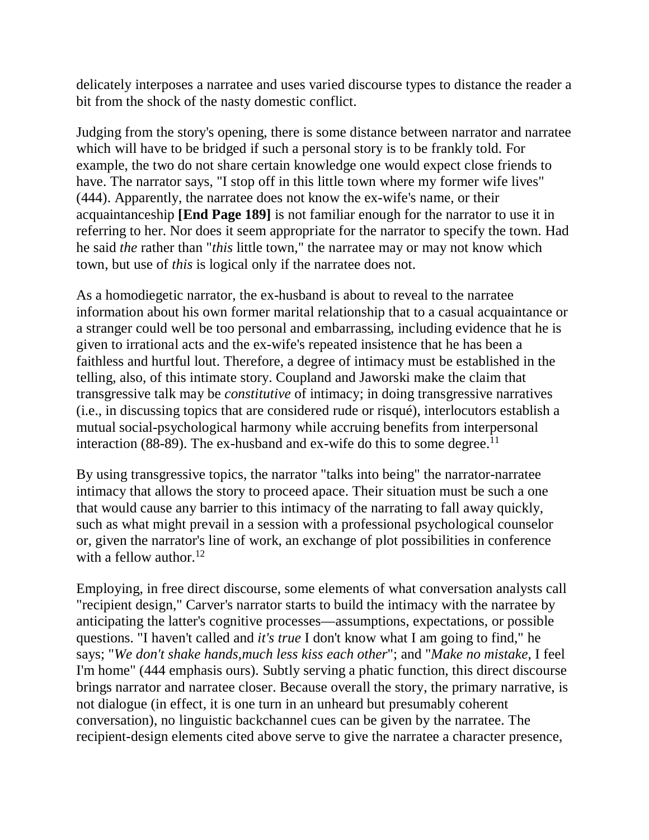delicately interposes a narratee and uses varied discourse types to distance the reader a bit from the shock of the nasty domestic conflict.

Judging from the story's opening, there is some distance between narrator and narratee which will have to be bridged if such a personal story is to be frankly told. For example, the two do not share certain knowledge one would expect close friends to have. The narrator says, "I stop off in this little town where my former wife lives" (444). Apparently, the narratee does not know the ex-wife's name, or their acquaintanceship **[End Page 189]** is not familiar enough for the narrator to use it in referring to her. Nor does it seem appropriate for the narrator to specify the town. Had he said *the* rather than "*this* little town," the narratee may or may not know which town, but use of *this* is logical only if the narratee does not.

As a homodiegetic narrator, the ex-husband is about to reveal to the narratee information about his own former marital relationship that to a casual acquaintance or a stranger could well be too personal and embarrassing, including evidence that he is given to irrational acts and the ex-wife's repeated insistence that he has been a faithless and hurtful lout. Therefore, a degree of intimacy must be established in the telling, also, of this intimate story. Coupland and Jaworski make the claim that transgressive talk may be *constitutive* of intimacy; in doing transgressive narratives (i.e., in discussing topics that are considered rude or risqué), interlocutors establish a mutual social-psychological harmony while accruing benefits from interpersonal interaction (88-89). The ex-husband and ex-wife do this to some degree.<sup>11</sup>

By using transgressive topics, the narrator "talks into being" the narrator-narratee intimacy that allows the story to proceed apace. Their situation must be such a one that would cause any barrier to this intimacy of the narrating to fall away quickly, such as what might prevail in a session with a professional psychological counselor or, given the narrator's line of work, an exchange of plot possibilities in conference with a fellow author. $^{12}$ 

Employing, in free direct discourse, some elements of what conversation analysts call "recipient design," Carver's narrator starts to build the intimacy with the narratee by anticipating the latter's cognitive processes—assumptions, expectations, or possible questions. "I haven't called and *it's true* I don't know what I am going to find," he says; "*We don't shake hands,much less kiss each other*"; and "*Make no mistake*, I feel I'm home" (444 emphasis ours). Subtly serving a phatic function, this direct discourse brings narrator and narratee closer. Because overall the story, the primary narrative, is not dialogue (in effect, it is one turn in an unheard but presumably coherent conversation), no linguistic backchannel cues can be given by the narratee. The recipient-design elements cited above serve to give the narratee a character presence,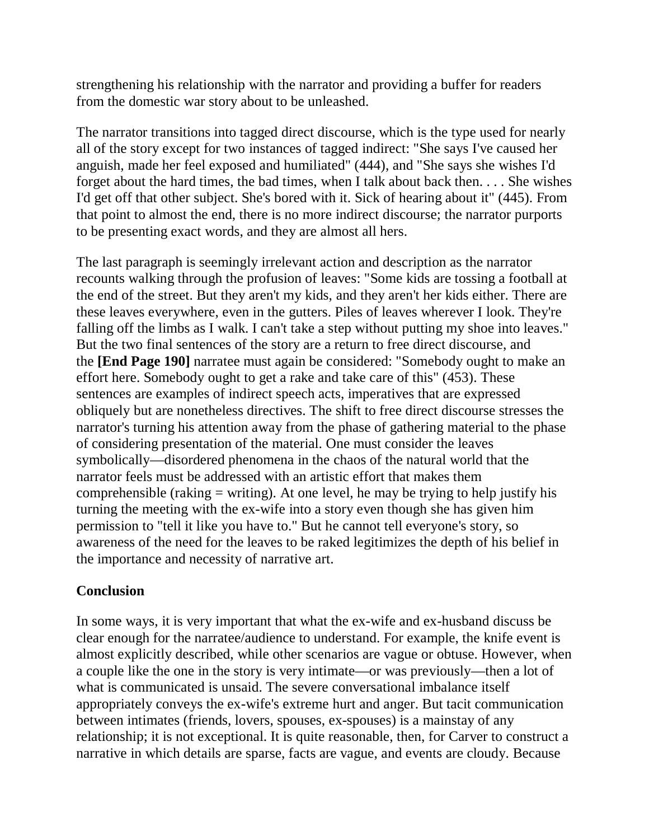strengthening his relationship with the narrator and providing a buffer for readers from the domestic war story about to be unleashed.

The narrator transitions into tagged direct discourse, which is the type used for nearly all of the story except for two instances of tagged indirect: "She says I've caused her anguish, made her feel exposed and humiliated" (444), and "She says she wishes I'd forget about the hard times, the bad times, when I talk about back then. . . . She wishes I'd get off that other subject. She's bored with it. Sick of hearing about it" (445). From that point to almost the end, there is no more indirect discourse; the narrator purports to be presenting exact words, and they are almost all hers.

The last paragraph is seemingly irrelevant action and description as the narrator recounts walking through the profusion of leaves: "Some kids are tossing a football at the end of the street. But they aren't my kids, and they aren't her kids either. There are these leaves everywhere, even in the gutters. Piles of leaves wherever I look. They're falling off the limbs as I walk. I can't take a step without putting my shoe into leaves." But the two final sentences of the story are a return to free direct discourse, and the **[End Page 190]** narratee must again be considered: "Somebody ought to make an effort here. Somebody ought to get a rake and take care of this" (453). These sentences are examples of indirect speech acts, imperatives that are expressed obliquely but are nonetheless directives. The shift to free direct discourse stresses the narrator's turning his attention away from the phase of gathering material to the phase of considering presentation of the material. One must consider the leaves symbolically—disordered phenomena in the chaos of the natural world that the narrator feels must be addressed with an artistic effort that makes them comprehensible (raking  $=$  writing). At one level, he may be trying to help justify his turning the meeting with the ex-wife into a story even though she has given him permission to "tell it like you have to." But he cannot tell everyone's story, so awareness of the need for the leaves to be raked legitimizes the depth of his belief in the importance and necessity of narrative art.

# **Conclusion**

In some ways, it is very important that what the ex-wife and ex-husband discuss be clear enough for the narratee/audience to understand. For example, the knife event is almost explicitly described, while other scenarios are vague or obtuse. However, when a couple like the one in the story is very intimate—or was previously—then a lot of what is communicated is unsaid. The severe conversational imbalance itself appropriately conveys the ex-wife's extreme hurt and anger. But tacit communication between intimates (friends, lovers, spouses, ex-spouses) is a mainstay of any relationship; it is not exceptional. It is quite reasonable, then, for Carver to construct a narrative in which details are sparse, facts are vague, and events are cloudy. Because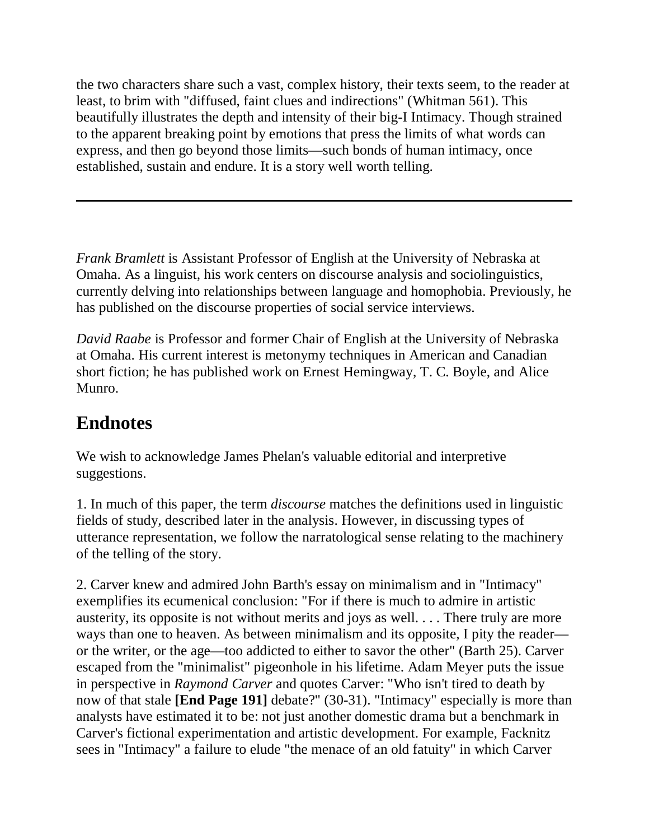the two characters share such a vast, complex history, their texts seem, to the reader at least, to brim with "diffused, faint clues and indirections" (Whitman 561). This beautifully illustrates the depth and intensity of their big-I Intimacy. Though strained to the apparent breaking point by emotions that press the limits of what words can express, and then go beyond those limits—such bonds of human intimacy, once established, sustain and endure. It is a story well worth telling.

*Frank Bramlett* is Assistant Professor of English at the University of Nebraska at Omaha. As a linguist, his work centers on discourse analysis and sociolinguistics, currently delving into relationships between language and homophobia. Previously, he has published on the discourse properties of social service interviews.

*David Raabe* is Professor and former Chair of English at the University of Nebraska at Omaha. His current interest is metonymy techniques in American and Canadian short fiction; he has published work on Ernest Hemingway, T. C. Boyle, and Alice Munro.

# **Endnotes**

We wish to acknowledge James Phelan's valuable editorial and interpretive suggestions.

1. In much of this paper, the term *discourse* matches the definitions used in linguistic fields of study, described later in the analysis. However, in discussing types of utterance representation, we follow the narratological sense relating to the machinery of the telling of the story.

2. Carver knew and admired John Barth's essay on minimalism and in "Intimacy" exemplifies its ecumenical conclusion: "For if there is much to admire in artistic austerity, its opposite is not without merits and joys as well. . . . There truly are more ways than one to heaven. As between minimalism and its opposite, I pity the reader or the writer, or the age—too addicted to either to savor the other" (Barth 25). Carver escaped from the "minimalist" pigeonhole in his lifetime. Adam Meyer puts the issue in perspective in *Raymond Carver* and quotes Carver: "Who isn't tired to death by now of that stale **[End Page 191]** debate?" (30-31). "Intimacy" especially is more than analysts have estimated it to be: not just another domestic drama but a benchmark in Carver's fictional experimentation and artistic development. For example, Facknitz sees in "Intimacy" a failure to elude "the menace of an old fatuity" in which Carver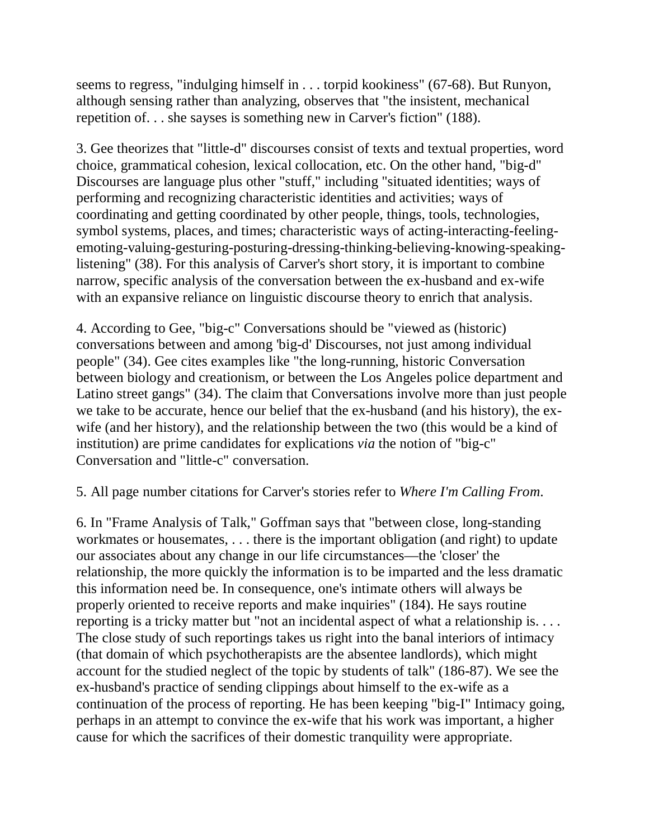seems to regress, "indulging himself in . . . torpid kookiness" (67-68). But Runyon, although sensing rather than analyzing, observes that "the insistent, mechanical repetition of. . . she sayses is something new in Carver's fiction" (188).

3. Gee theorizes that "little-d" discourses consist of texts and textual properties, word choice, grammatical cohesion, lexical collocation, etc. On the other hand, "big-d" Discourses are language plus other "stuff," including "situated identities; ways of performing and recognizing characteristic identities and activities; ways of coordinating and getting coordinated by other people, things, tools, technologies, symbol systems, places, and times; characteristic ways of acting-interacting-feelingemoting-valuing-gesturing-posturing-dressing-thinking-believing-knowing-speakinglistening" (38). For this analysis of Carver's short story, it is important to combine narrow, specific analysis of the conversation between the ex-husband and ex-wife with an expansive reliance on linguistic discourse theory to enrich that analysis.

4. According to Gee, "big-c" Conversations should be "viewed as (historic) conversations between and among 'big-d' Discourses, not just among individual people" (34). Gee cites examples like "the long-running, historic Conversation between biology and creationism, or between the Los Angeles police department and Latino street gangs" (34). The claim that Conversations involve more than just people we take to be accurate, hence our belief that the ex-husband (and his history), the exwife (and her history), and the relationship between the two (this would be a kind of institution) are prime candidates for explications *via* the notion of "big-c" Conversation and "little-c" conversation.

5. All page number citations for Carver's stories refer to *Where I'm Calling From*.

6. In "Frame Analysis of Talk," Goffman says that "between close, long-standing workmates or housemates, . . . there is the important obligation (and right) to update our associates about any change in our life circumstances—the 'closer' the relationship, the more quickly the information is to be imparted and the less dramatic this information need be. In consequence, one's intimate others will always be properly oriented to receive reports and make inquiries" (184). He says routine reporting is a tricky matter but "not an incidental aspect of what a relationship is. . . . The close study of such reportings takes us right into the banal interiors of intimacy (that domain of which psychotherapists are the absentee landlords), which might account for the studied neglect of the topic by students of talk" (186-87). We see the ex-husband's practice of sending clippings about himself to the ex-wife as a continuation of the process of reporting. He has been keeping "big-I" Intimacy going, perhaps in an attempt to convince the ex-wife that his work was important, a higher cause for which the sacrifices of their domestic tranquility were appropriate.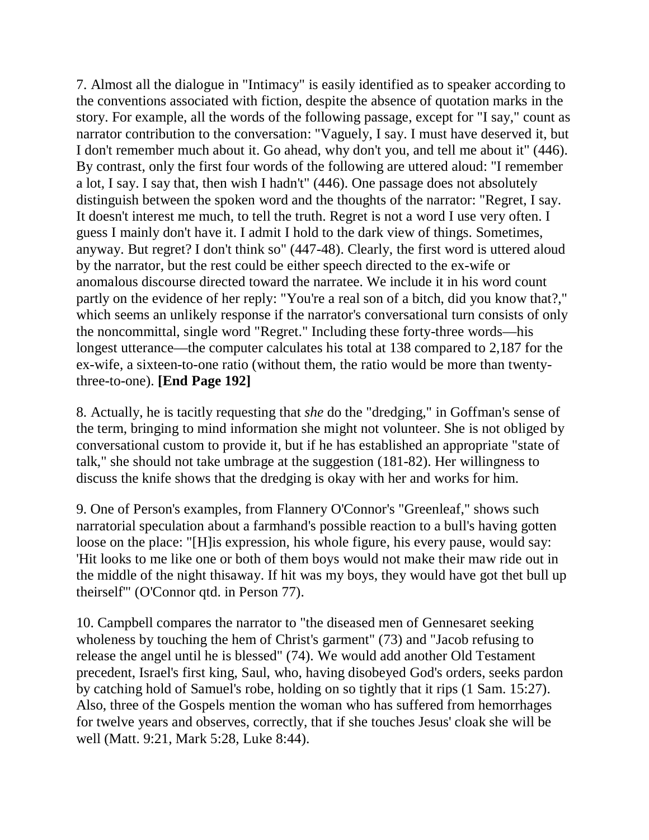7. Almost all the dialogue in "Intimacy" is easily identified as to speaker according to the conventions associated with fiction, despite the absence of quotation marks in the story. For example, all the words of the following passage, except for "I say," count as narrator contribution to the conversation: "Vaguely, I say. I must have deserved it, but I don't remember much about it. Go ahead, why don't you, and tell me about it" (446). By contrast, only the first four words of the following are uttered aloud: "I remember a lot, I say. I say that, then wish I hadn't" (446). One passage does not absolutely distinguish between the spoken word and the thoughts of the narrator: "Regret, I say. It doesn't interest me much, to tell the truth. Regret is not a word I use very often. I guess I mainly don't have it. I admit I hold to the dark view of things. Sometimes, anyway. But regret? I don't think so" (447-48). Clearly, the first word is uttered aloud by the narrator, but the rest could be either speech directed to the ex-wife or anomalous discourse directed toward the narratee. We include it in his word count partly on the evidence of her reply: "You're a real son of a bitch, did you know that?," which seems an unlikely response if the narrator's conversational turn consists of only the noncommittal, single word "Regret." Including these forty-three words—his longest utterance—the computer calculates his total at 138 compared to 2,187 for the ex-wife, a sixteen-to-one ratio (without them, the ratio would be more than twentythree-to-one). **[End Page 192]**

8. Actually, he is tacitly requesting that *she* do the "dredging," in Goffman's sense of the term, bringing to mind information she might not volunteer. She is not obliged by conversational custom to provide it, but if he has established an appropriate "state of talk," she should not take umbrage at the suggestion (181-82). Her willingness to discuss the knife shows that the dredging is okay with her and works for him.

9. One of Person's examples, from Flannery O'Connor's "Greenleaf," shows such narratorial speculation about a farmhand's possible reaction to a bull's having gotten loose on the place: "[H]is expression, his whole figure, his every pause, would say: 'Hit looks to me like one or both of them boys would not make their maw ride out in the middle of the night thisaway. If hit was my boys, they would have got thet bull up theirself'" (O'Connor qtd. in Person 77).

10. Campbell compares the narrator to "the diseased men of Gennesaret seeking wholeness by touching the hem of Christ's garment" (73) and "Jacob refusing to release the angel until he is blessed" (74). We would add another Old Testament precedent, Israel's first king, Saul, who, having disobeyed God's orders, seeks pardon by catching hold of Samuel's robe, holding on so tightly that it rips (1 Sam. 15:27). Also, three of the Gospels mention the woman who has suffered from hemorrhages for twelve years and observes, correctly, that if she touches Jesus' cloak she will be well (Matt. 9:21, Mark 5:28, Luke 8:44).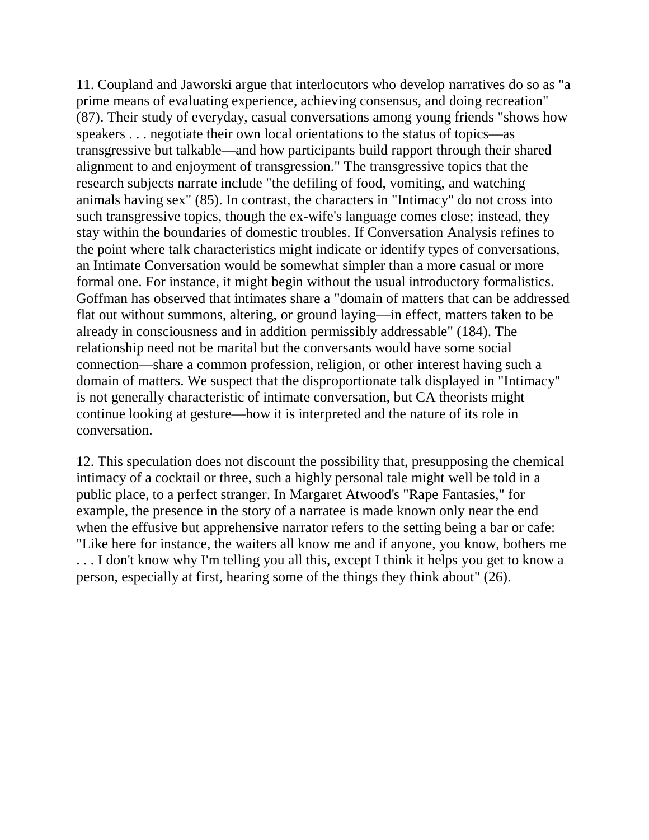11. Coupland and Jaworski argue that interlocutors who develop narratives do so as "a prime means of evaluating experience, achieving consensus, and doing recreation" (87). Their study of everyday, casual conversations among young friends "shows how speakers . . . negotiate their own local orientations to the status of topics—as transgressive but talkable—and how participants build rapport through their shared alignment to and enjoyment of transgression." The transgressive topics that the research subjects narrate include "the defiling of food, vomiting, and watching animals having sex" (85). In contrast, the characters in "Intimacy" do not cross into such transgressive topics, though the ex-wife's language comes close; instead, they stay within the boundaries of domestic troubles. If Conversation Analysis refines to the point where talk characteristics might indicate or identify types of conversations, an Intimate Conversation would be somewhat simpler than a more casual or more formal one. For instance, it might begin without the usual introductory formalistics. Goffman has observed that intimates share a "domain of matters that can be addressed flat out without summons, altering, or ground laying—in effect, matters taken to be already in consciousness and in addition permissibly addressable" (184). The relationship need not be marital but the conversants would have some social connection—share a common profession, religion, or other interest having such a domain of matters. We suspect that the disproportionate talk displayed in "Intimacy" is not generally characteristic of intimate conversation, but CA theorists might continue looking at gesture—how it is interpreted and the nature of its role in conversation.

12. This speculation does not discount the possibility that, presupposing the chemical intimacy of a cocktail or three, such a highly personal tale might well be told in a public place, to a perfect stranger. In Margaret Atwood's "Rape Fantasies," for example, the presence in the story of a narratee is made known only near the end when the effusive but apprehensive narrator refers to the setting being a bar or cafe: "Like here for instance, the waiters all know me and if anyone, you know, bothers me . . . I don't know why I'm telling you all this, except I think it helps you get to know a person, especially at first, hearing some of the things they think about" (26).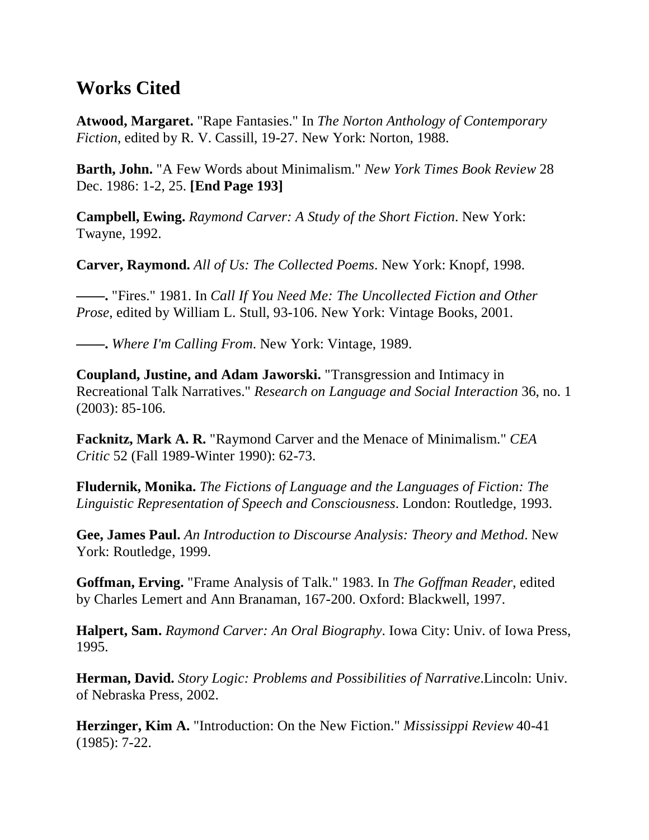# **Works Cited**

**Atwood, Margaret.** "Rape Fantasies." In *The Norton Anthology of Contemporary Fiction*, edited by R. V. Cassill, 19-27. New York: Norton, 1988.

**Barth, John.** "A Few Words about Minimalism." *New York Times Book Review* 28 Dec. 1986: 1-2, 25. **[End Page 193]**

**Campbell, Ewing.** *Raymond Carver: A Study of the Short Fiction*. New York: Twayne, 1992.

**Carver, Raymond.** *All of Us: The Collected Poems*. New York: Knopf, 1998.

**——.** "Fires." 1981. In *Call If You Need Me: The Uncollected Fiction and Other Prose*, edited by William L. Stull, 93-106. New York: Vintage Books, 2001.

**——.** *Where I'm Calling From*. New York: Vintage, 1989.

**Coupland, Justine, and Adam Jaworski.** "Transgression and Intimacy in Recreational Talk Narratives." *Research on Language and Social Interaction* 36, no. 1 (2003): 85-106.

**Facknitz, Mark A. R.** "Raymond Carver and the Menace of Minimalism." *CEA Critic* 52 (Fall 1989-Winter 1990): 62-73.

**Fludernik, Monika.** *The Fictions of Language and the Languages of Fiction: The Linguistic Representation of Speech and Consciousness*. London: Routledge, 1993.

**Gee, James Paul.** *An Introduction to Discourse Analysis: Theory and Method*. New York: Routledge, 1999.

**Goffman, Erving.** "Frame Analysis of Talk." 1983. In *The Goffman Reader*, edited by Charles Lemert and Ann Branaman, 167-200. Oxford: Blackwell, 1997.

**Halpert, Sam.** *Raymond Carver: An Oral Biography*. Iowa City: Univ. of Iowa Press, 1995.

**Herman, David.** *Story Logic: Problems and Possibilities of Narrative*.Lincoln: Univ. of Nebraska Press, 2002.

**Herzinger, Kim A.** "Introduction: On the New Fiction." *Mississippi Review* 40-41 (1985): 7-22.